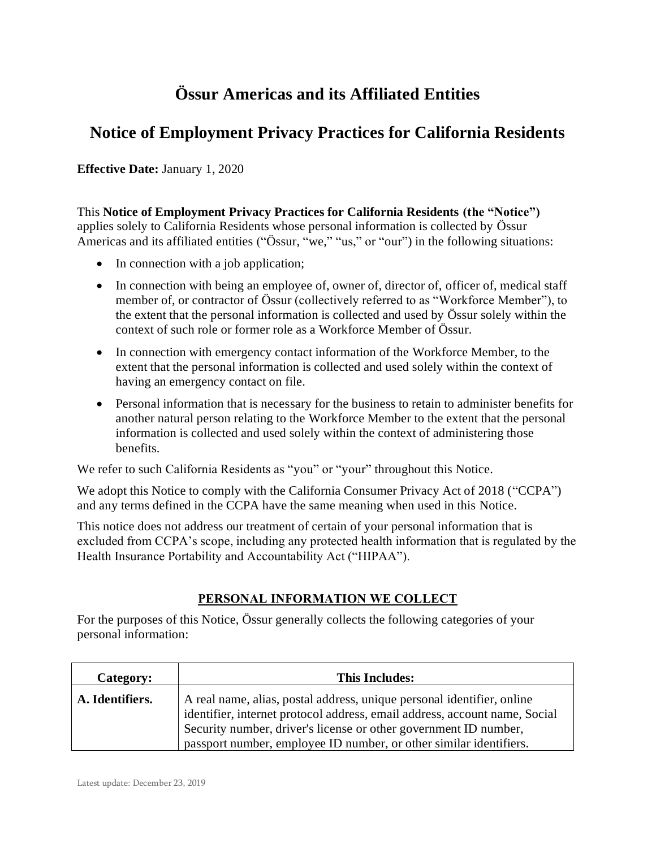# **Össur Americas and its Affiliated Entities**

# **Notice of Employment Privacy Practices for California Residents**

**Effective Date:** January 1, 2020

This **Notice of Employment Privacy Practices for California Residents (the "Notice")** applies solely to California Residents whose personal information is collected by Össur Americas and its affiliated entities ("Össur, "we," "us," or "our") in the following situations:

- In connection with a job application;
- In connection with being an employee of, owner of, director of, officer of, medical staff member of, or contractor of Össur (collectively referred to as "Workforce Member"), to the extent that the personal information is collected and used by Össur solely within the context of such role or former role as a Workforce Member of Össur.
- In connection with emergency contact information of the Workforce Member, to the extent that the personal information is collected and used solely within the context of having an emergency contact on file.
- Personal information that is necessary for the business to retain to administer benefits for another natural person relating to the Workforce Member to the extent that the personal information is collected and used solely within the context of administering those benefits.

We refer to such California Residents as "you" or "your" throughout this Notice.

We adopt this Notice to comply with the California Consumer Privacy Act of 2018 ("CCPA") and any terms defined in the CCPA have the same meaning when used in this Notice.

This notice does not address our treatment of certain of your personal information that is excluded from CCPA's scope, including any protected health information that is regulated by the Health Insurance Portability and Accountability Act ("HIPAA").

#### **PERSONAL INFORMATION WE COLLECT**

For the purposes of this Notice, Össur generally collects the following categories of your personal information:

| Category:       | <b>This Includes:</b>                                                                                                                                                                                                                                                                          |
|-----------------|------------------------------------------------------------------------------------------------------------------------------------------------------------------------------------------------------------------------------------------------------------------------------------------------|
| A. Identifiers. | A real name, alias, postal address, unique personal identifier, online<br>identifier, internet protocol address, email address, account name, Social<br>Security number, driver's license or other government ID number,<br>passport number, employee ID number, or other similar identifiers. |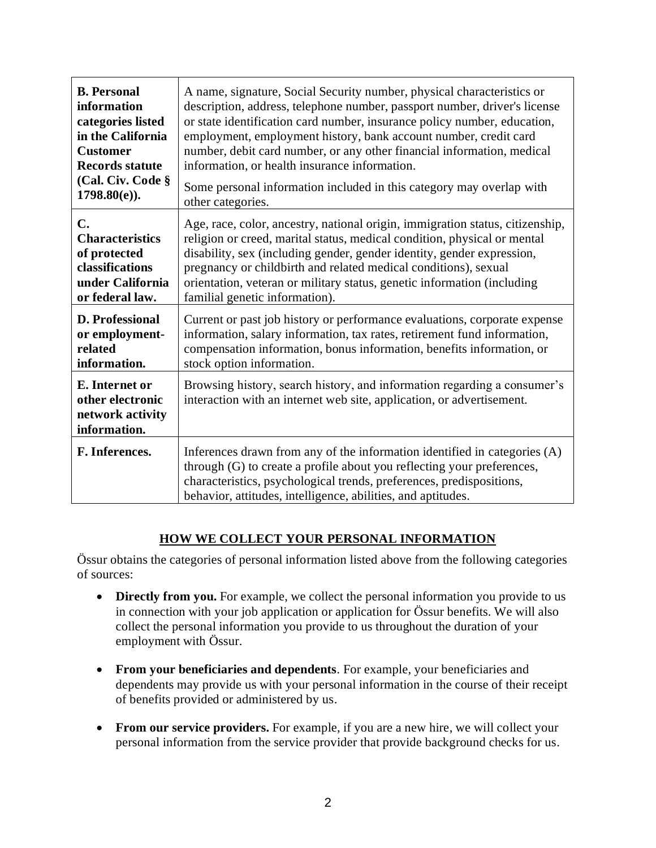| <b>B.</b> Personal                                                     | A name, signature, Social Security number, physical characteristics or                                                                                                                                                                                                                      |
|------------------------------------------------------------------------|---------------------------------------------------------------------------------------------------------------------------------------------------------------------------------------------------------------------------------------------------------------------------------------------|
| information                                                            | description, address, telephone number, passport number, driver's license                                                                                                                                                                                                                   |
| categories listed                                                      | or state identification card number, insurance policy number, education,                                                                                                                                                                                                                    |
| in the California                                                      | employment, employment history, bank account number, credit card                                                                                                                                                                                                                            |
| <b>Customer</b>                                                        | number, debit card number, or any other financial information, medical                                                                                                                                                                                                                      |
| <b>Records statute</b>                                                 | information, or health insurance information.                                                                                                                                                                                                                                               |
| (Cal. Civ. Code §                                                      | Some personal information included in this category may overlap with                                                                                                                                                                                                                        |
| $1798.80(e)$ ).                                                        | other categories.                                                                                                                                                                                                                                                                           |
| $\mathbf{C}$ .                                                         | Age, race, color, ancestry, national origin, immigration status, citizenship,                                                                                                                                                                                                               |
| <b>Characteristics</b>                                                 | religion or creed, marital status, medical condition, physical or mental                                                                                                                                                                                                                    |
| of protected                                                           | disability, sex (including gender, gender identity, gender expression,                                                                                                                                                                                                                      |
| classifications                                                        | pregnancy or childbirth and related medical conditions), sexual                                                                                                                                                                                                                             |
| under California                                                       | orientation, veteran or military status, genetic information (including                                                                                                                                                                                                                     |
| or federal law.                                                        | familial genetic information).                                                                                                                                                                                                                                                              |
| <b>D. Professional</b>                                                 | Current or past job history or performance evaluations, corporate expense                                                                                                                                                                                                                   |
| or employment-                                                         | information, salary information, tax rates, retirement fund information,                                                                                                                                                                                                                    |
| related                                                                | compensation information, bonus information, benefits information, or                                                                                                                                                                                                                       |
| information.                                                           | stock option information.                                                                                                                                                                                                                                                                   |
| E. Internet or<br>other electronic<br>network activity<br>information. | Browsing history, search history, and information regarding a consumer's<br>interaction with an internet web site, application, or advertisement.                                                                                                                                           |
| F. Inferences.                                                         | Inferences drawn from any of the information identified in categories (A)<br>through (G) to create a profile about you reflecting your preferences,<br>characteristics, psychological trends, preferences, predispositions,<br>behavior, attitudes, intelligence, abilities, and aptitudes. |

# **HOW WE COLLECT YOUR PERSONAL INFORMATION**

Össur obtains the categories of personal information listed above from the following categories of sources:

- **Directly from you.** For example, we collect the personal information you provide to us in connection with your job application or application for Össur benefits. We will also collect the personal information you provide to us throughout the duration of your employment with Össur.
- **From your beneficiaries and dependents**. For example, your beneficiaries and dependents may provide us with your personal information in the course of their receipt of benefits provided or administered by us.
- **From our service providers.** For example, if you are a new hire, we will collect your personal information from the service provider that provide background checks for us.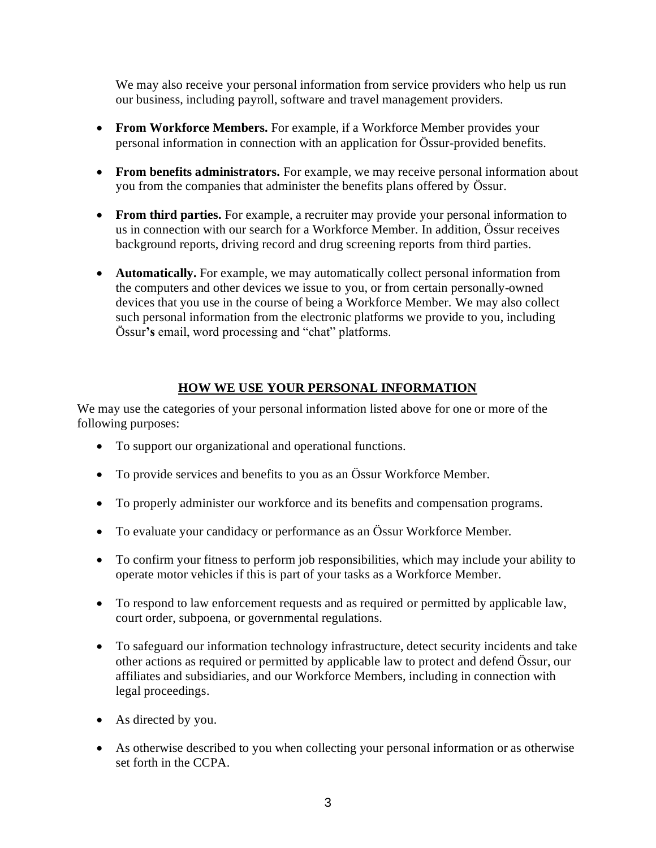We may also receive your personal information from service providers who help us run our business, including payroll, software and travel management providers.

- **From Workforce Members.** For example, if a Workforce Member provides your personal information in connection with an application for Össur-provided benefits.
- **From benefits administrators.** For example, we may receive personal information about you from the companies that administer the benefits plans offered by Össur.
- **From third parties.** For example, a recruiter may provide your personal information to us in connection with our search for a Workforce Member. In addition, Össur receives background reports, driving record and drug screening reports from third parties.
- **Automatically.** For example, we may automatically collect personal information from the computers and other devices we issue to you, or from certain personally-owned devices that you use in the course of being a Workforce Member. We may also collect such personal information from the electronic platforms we provide to you, including Össur**'s** email, word processing and "chat" platforms.

# **HOW WE USE YOUR PERSONAL INFORMATION**

We may use the categories of your personal information listed above for one or more of the following purposes:

- To support our organizational and operational functions.
- To provide services and benefits to you as an Össur Workforce Member.
- To properly administer our workforce and its benefits and compensation programs.
- To evaluate your candidacy or performance as an Össur Workforce Member.
- To confirm your fitness to perform job responsibilities, which may include your ability to operate motor vehicles if this is part of your tasks as a Workforce Member.
- To respond to law enforcement requests and as required or permitted by applicable law, court order, subpoena, or governmental regulations.
- To safeguard our information technology infrastructure, detect security incidents and take other actions as required or permitted by applicable law to protect and defend Össur, our affiliates and subsidiaries, and our Workforce Members, including in connection with legal proceedings.
- As directed by you.
- As otherwise described to you when collecting your personal information or as otherwise set forth in the CCPA.